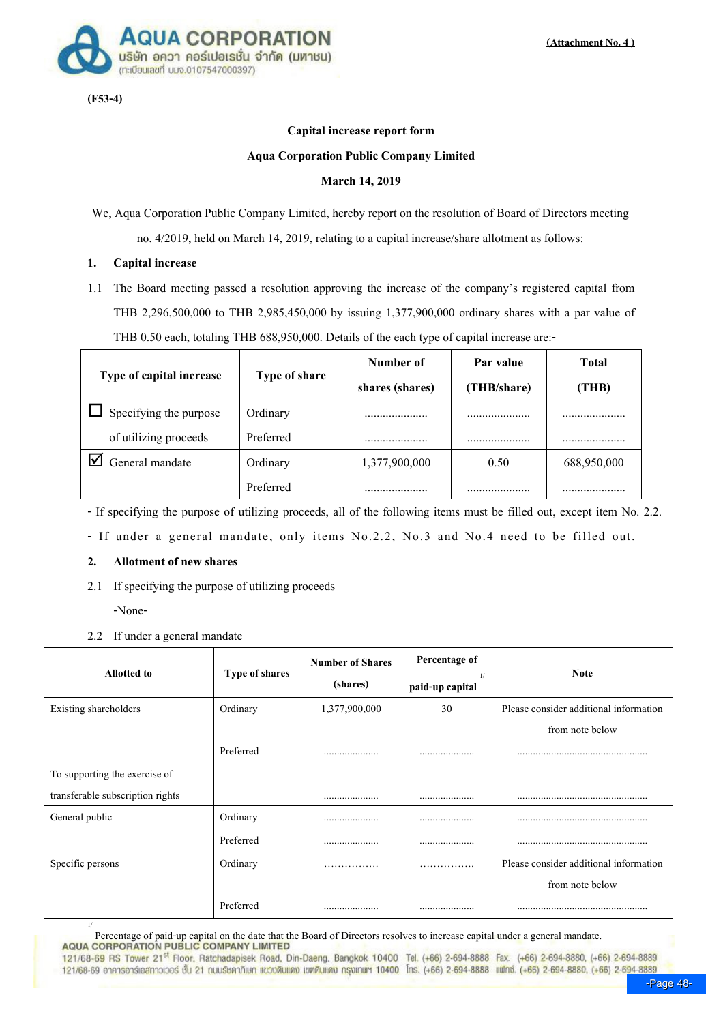

(F53-4)

#### Capital increase report form

#### Aqua Corporation Public Company Limited

#### March 14, 2019

We, Aqua Corporation Public Company Limited, hereby report on the resolution of Board of Directors meeting no. 4/2019, held on March 14, 2019, relating to a capital increase/share allotment as follows:

### 1. Capital increase

1.1 The Board meeting passed a resolution approving the increase of the company\*s registered capital from THB 2,296,500,000 to THB 2,985,450,000 by issuing 1,377,900,000 ordinary shares with a par value of THB 0.50 each, totaling THB 688,950,000. Details of the each type of capital increase are:-

|                          |               | Number of       | Par value   | Total       |
|--------------------------|---------------|-----------------|-------------|-------------|
| Type of capital increase | Type of share | shares (shares) | (THB/share) | (THB)       |
| Specifying the purpose   | Ordinary      |                 |             |             |
| of utilizing proceeds    | Preferred     |                 |             |             |
| General mandate          | Ordinary      | 1,377,900,000   | 0.50        | 688,950,000 |
|                          | Preferred     |                 |             |             |

- If specifying the purpose of utilizing proceeds, all of the following items must be filled out, except item No. 2.2.

- If under a general mandate, only items No.2.2, No.3 and No.4 need to be filled out.

#### 2. Allotment of new shares

2.1 If specifying the purpose of utilizing proceeds

-None-

2.2 If under a general mandate

| <b>Allotted to</b>               | Type of shares | <b>Number of Shares</b><br>(shares) | Percentage of<br>1/<br>paid-up capital | <b>Note</b>                            |
|----------------------------------|----------------|-------------------------------------|----------------------------------------|----------------------------------------|
| Existing shareholders            | Ordinary       | 1,377,900,000                       | 30                                     | Please consider additional information |
|                                  |                |                                     |                                        | from note below                        |
|                                  | Preferred      |                                     |                                        |                                        |
| To supporting the exercise of    |                |                                     |                                        |                                        |
| transferable subscription rights |                |                                     |                                        |                                        |
| General public                   | Ordinary       |                                     |                                        |                                        |
|                                  | Preferred      |                                     |                                        |                                        |
| Specific persons                 | Ordinary       | .                                   | .                                      | Please consider additional information |
|                                  |                |                                     |                                        | from note below                        |
|                                  | Preferred      |                                     |                                        |                                        |

 $\frac{1}{1}$  Percentage of paid-up capital on the date that the Board of Directors resolves to increase capital under a general mandate.

121/68-69 RS Tower 21<sup>st</sup> Floor, Ratchadapisek Road, Din-Daeng, Bangkok 10400 Tel. (+66) 2-694-8888 Fax. (+66) 2-694-8880, (+66) 2-694-8889 121/68-69 อาคารอาร์เอสทาวเวอร์ ชั้น 21 กนบรัชคาภิเษก แขวงดินแดง เขตดินแดง กรุงเทพฯ 10400 โทร. (+66) 2-694-8888 แฟกซ์. (+66) 2-694-8880, (+66) 2-694-8889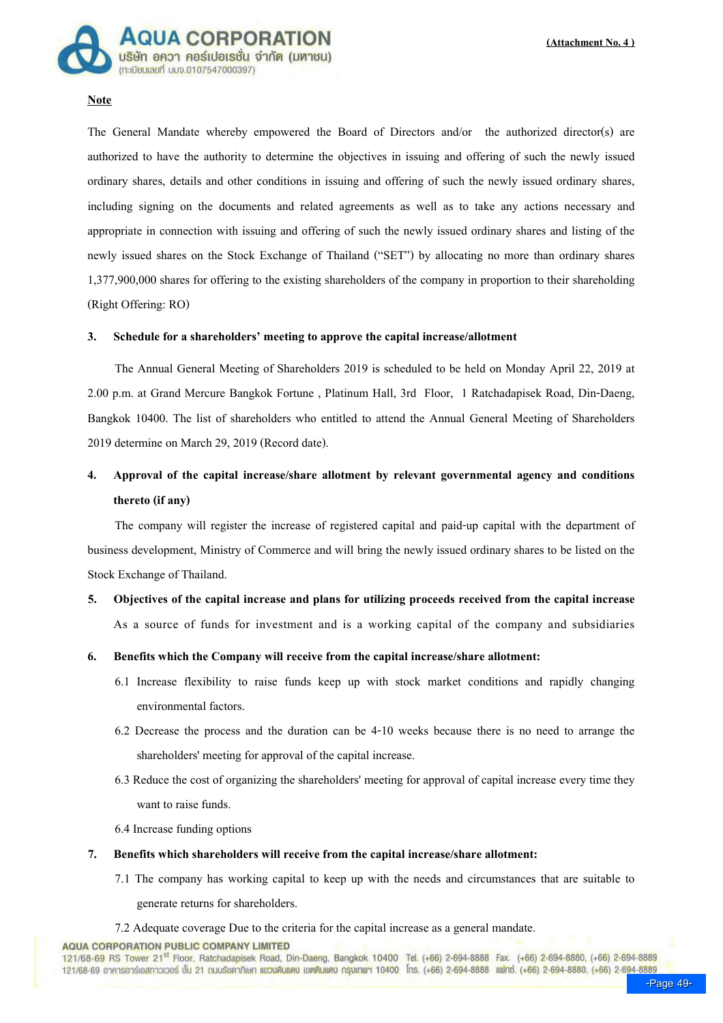

#### **Note**

The General Mandate whereby empowered the Board of Directors and/or the authorized director(s) are authorized to have the authority to determine the objectives in issuing and offering of such the newly issued ordinary shares, details and other conditions in issuing and offering of such the newly issued ordinary shares, including signing on the documents and related agreements as well as to take any actions necessary and appropriate in connection with issuing and offering of such the newly issued ordinary shares and listing of the newly issued shares on the Stock Exchange of Thailand ("SET") by allocating no more than ordinary shares 1,377,900,000 shares for offering to the existing shareholders of the company in proportion to their shareholding (Right Offering: RO)

#### 3. Schedule for a shareholders' meeting to approve the capital increase/allotment

The Annual General Meeting of Shareholders 2019 is scheduled to be held on Monday April 22, 2019 at 2.00 p.m. at Grand Mercure Bangkok Fortune , Platinum Hall, 3rd Floor, 1 Ratchadapisek Road, Din-Daeng, Bangkok 10400. The list of shareholders who entitled to attend the Annual General Meeting of Shareholders 2019 determine on March 29, 2019 (Record date).

# 4. Approval of the capital increase/share allotment by relevant governmental agency and conditions thereto (if any)

The company will register the increase of registered capital and paid-up capital with the department of business development, Ministry of Commerce and will bring the newly issued ordinary shares to be listed on the Stock Exchange of Thailand.

- 5. Objectives of the capital increase and plans for utilizing proceeds received from the capital increase As a source of funds for investment and is a working capital of the company and subsidiaries
- 6. Benefits which the Company will receive from the capital increase/share allotment:
	- 6.1 Increase flexibility to raise funds keep up with stock market conditions and rapidly changing environmental factors.
	- 6.2 Decrease the process and the duration can be 4-10 weeks because there is no need to arrange the shareholders' meeting for approval of the capital increase.
	- 6.3 Reduce the cost of organizing the shareholders' meeting for approval of capital increase every time they want to raise funds.
	- 6.4 Increase funding options

#### 7. Benefits which shareholders will receive from the capital increase/share allotment:

7.1 The company has working capital to keep up with the needs and circumstances that are suitable to generate returns for shareholders.

7.2 Adequate coverage Due to the criteria for the capital increase as a general mandate.

**AQUA CORPORATION PUBLIC COMPANY LIMITED** 

121/68-69 RS Tower 21<sup>st</sup> Floor, Ratchadapisek Road, Din-Daeng, Bangkok 10400 Tel. (+66) 2-694-8888 Fax. (+66) 2-694-8880, (+66) 2-694-8889 121/68-69 อาคารอาร์เอสทาวเวอร์ ชั้น 21 ณนเรียคากิเษก แขวบดินแดง เขตดินแดง กรุงเทพฯ 10400 โกร. (+66) 2-694-8888 แฟกซ์. (+66) 2-694-8880. (+66) 2-694-8889<br>Page 49-